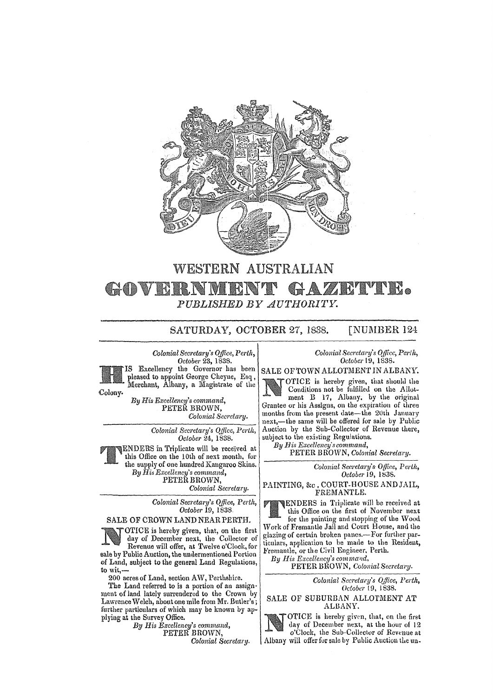

## WESTERN AUSTRALIAN GAZETTE. GOVERNMI ENT *PUBLISHED BY AUTHORITY.*

SATURDAY, OCTOBER 27, 1838. [NUMBER 124

*Colonial Secretary's Office, Perth, Octobel'* 23, 1838.



Excellency the Governor has been pleased to appoint George Cheyne, Esq, Merchant, Albany, a Magistrate of the

Colony.

*By* His *Excellency's command,*  PETER BROWN. *Colonial Secretary.* 

> *Colonial Secretary's Qtfice, Perth, October 24, 1838.*

ENDERS in Triplicate will be received at this Office on the lOth of next month, for the supply of one hundred Kangaroo Skins. *By His Excellency's command,*  PETEŘ BROWN, *Colonial Secretary.* 

> *Colonial Secretary's Office, Perth, October* 19, 1838.

SALE OF CROWN LAND NEAR PERTH.

OTICE is hereby given, that, on the first day of December next, the Collector of Revenue will offer, at Twelve o'Clock. for sale by Public Auction, the undermentioned Portion of Land, subject to the general Land Regulations, to wit,-

200 acres of Land, section AW, Perthshire.

The Land referred to is a portion of an assignment of land lately surrendered to the Crown by Lawrence Welch, about one mile from Mr. Butler's; further particulars of which may be known by applying at the Survey Office.

*By His Excellency's command,*  PETER BROWN,

*Colonial Secretary,* 

## *Colonial Secretary's Qffice,* Perth, *October* 19, 1838.

SALE OF TOWN ALLOTMENT IN ALBANY.

OTICE is hereby given. that should the Conditions not be fulfilled on the Allotment B 17, Albany. by the original Grantee or his Assigns. on the expiration of three months from the present date-the 20th January next,-the same will be offered for sale by Public Auction by the Sub-Collector of Revenue there, subject to the existing Regulations.

*By His Excellcncy'scornmand,*  PETER BROWN, *Colonial Secretary.* 

> *Colonial Secretary's Office, Perth, October* 19, 1838.

PAINTING, &c. COURT-HOUSE AND JAIL. FREMANTLE.

TENDERS in Triplicate will be received at this Office on the first of November next for the painting and stopping of the Wood this Office on the first of November next for the painting and stopping of the Wood Work of Fremantle Jail and Court House, and the glazing of certain broken panes.-For further particulars, application to be made to the Resident, Fremantle, or the Civil Engineer. Perth.

By His Excellency's command,

PETER BROWN, *Colonial Secretary.* 

*Colonial Secretary's Qlflce, Perth, October* [9, 1838.

SALE OF SUBURBAN ALLOTMENT AT ALBANY.



OTICE is hereby given, that, on the first day of December next, at the hour of 12 o'Clock, the Sub-Collector of Revenue at Albany will offer for sale by Public Auction the un